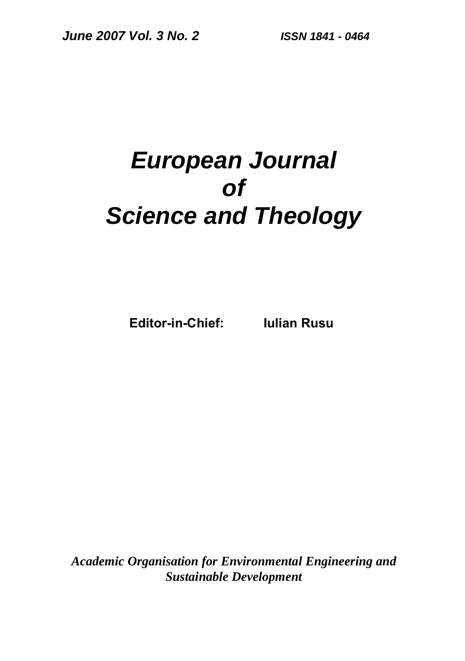# *European Journal of Science and Theology*

**Editor-in-Chief: Iulian Rusu** 

*Academic Organisation for Environmental Engineering and Sustainable Development*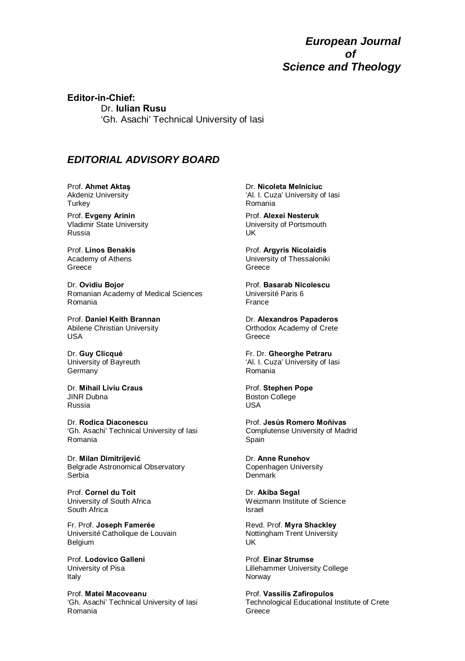#### *European Journal of Science and Theology*

**Editor-in-Chief:**  Dr. **Iulian Rusu**  'Gh. Asachi' Technical University of Iasi

#### *EDITORIAL ADVISORY BOARD*

Prof. **Ahmet Aktaş** Akdeniz University **Turkey** 

Prof. **Evgeny Arinin** Vladimir State University Russia

Prof. **Linos Benakis** Academy of Athens Greece

Dr. **Ovidiu Bojor**  Romanian Academy of Medical Sciences Romania

Prof. **Daniel Keith Brannan** Abilene Christian University USA

Dr. **Guy Clicqué**  University of Bayreuth Germany

Dr. **Mihail Liviu Craus** JINR Dubna Russia

Dr. **Rodica Diaconescu** 'Gh. Asachi' Technical University of Iasi Romania

Dr. **Milan Dimitrijević** Belgrade Astronomical Observatory Serbia

Prof. **Cornel du Toit**  University of South Africa South Africa

Fr. Prof. **Joseph Famerée**  Université Catholique de Louvain Belgium

Prof. **Lodovico Galleni**  University of Pisa Italy

Prof. **Matei Macoveanu** 'Gh. Asachi' Technical University of Iasi Romania

Dr. **Nicoleta Melniciuc** 'Al. I. Cuza' University of Iasi Romania

Prof. **Alexei Nesteruk** University of Portsmouth UK

Prof. **Argyris Nicolaidis** University of Thessaloniki Greece

Prof. **Basarab Nicolescu**  Université Paris 6 France

Dr. **Alexandros Papaderos**  Orthodox Academy of Crete Greece

Fr. Dr. **Gheorghe Petraru** 'Al. I. Cuza' University of Iasi Romania

Prof. **Stephen Pope** Boston College USA

Prof. **Jesús Romero Moñivas** Complutense University of Madrid Spain

Dr. **Anne Runehov**  Copenhagen University Denmark

Dr. **Akiba Segal**  Weizmann Institute of Science Israel

Revd. Prof. **Myra Shackley** Nottingham Trent University UK

Prof. **Einar Strumse**  Lillehammer University College Norway

Prof. **Vassilis Zafiropulos**  Technological Educational Institute of Crete Greece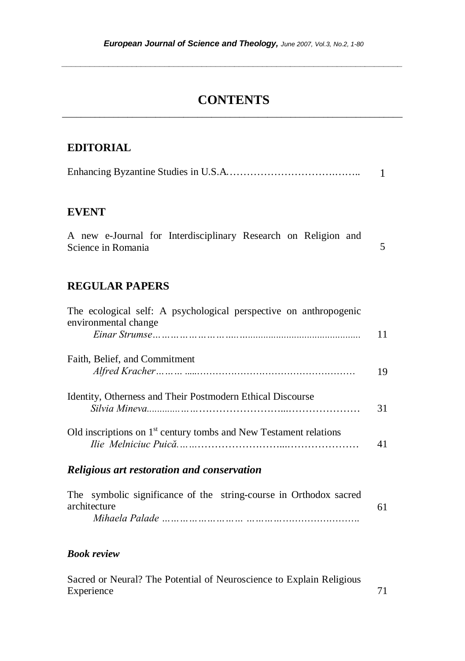*\_\_\_\_\_\_\_\_\_\_\_\_\_\_\_\_\_\_\_\_\_\_\_\_\_\_\_\_\_\_\_\_\_\_\_\_\_\_\_\_\_\_\_\_\_\_\_\_\_\_\_\_\_\_\_\_\_\_\_\_\_\_\_\_\_\_\_\_\_\_\_\_\_* 

## **CONTENTS**  $\_$  ,  $\_$  ,  $\_$  ,  $\_$  ,  $\_$  ,  $\_$  ,  $\_$  ,  $\_$  ,  $\_$  ,  $\_$  ,  $\_$  ,  $\_$  ,  $\_$  ,  $\_$  ,  $\_$  ,  $\_$  ,  $\_$  ,  $\_$  ,  $\_$

#### **EDITORIAL**

|--|--|

#### **EVENT**

|                    |  |  |  | A new e-Journal for Interdisciplinary Research on Religion and |  |  |  |  |  |
|--------------------|--|--|--|----------------------------------------------------------------|--|--|--|--|--|
| Science in Romania |  |  |  |                                                                |  |  |  |  |  |

## **REGULAR PAPERS**

| Religious art restoration and conservation                                                |    |
|-------------------------------------------------------------------------------------------|----|
| Old inscriptions on $1st$ century tombs and New Testament relations                       | 41 |
| Identity, Otherness and Their Postmodern Ethical Discourse                                | 31 |
| Faith, Belief, and Commitment                                                             | 19 |
| The ecological self: A psychological perspective on anthropogenic<br>environmental change |    |

|  |              | The symbolic significance of the string-course in Orthodox sacred |  |  |  |
|--|--------------|-------------------------------------------------------------------|--|--|--|
|  | architecture |                                                                   |  |  |  |
|  |              |                                                                   |  |  |  |

#### *Book review*

Sacred or Neural? The Potential of Neuroscience to Explain Religious Experience 71